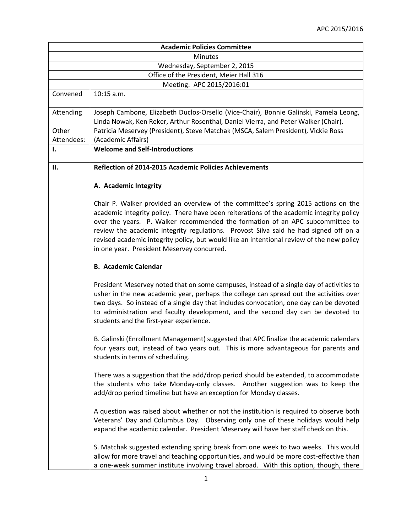| <b>Academic Policies Committee</b> |                                                                                                                                                                                                                                                                                                                                                                                                                                                                                                    |
|------------------------------------|----------------------------------------------------------------------------------------------------------------------------------------------------------------------------------------------------------------------------------------------------------------------------------------------------------------------------------------------------------------------------------------------------------------------------------------------------------------------------------------------------|
| <b>Minutes</b>                     |                                                                                                                                                                                                                                                                                                                                                                                                                                                                                                    |
|                                    | Wednesday, September 2, 2015                                                                                                                                                                                                                                                                                                                                                                                                                                                                       |
|                                    | Office of the President, Meier Hall 316                                                                                                                                                                                                                                                                                                                                                                                                                                                            |
|                                    | Meeting: APC 2015/2016:01                                                                                                                                                                                                                                                                                                                                                                                                                                                                          |
| Convened                           | 10:15 a.m.                                                                                                                                                                                                                                                                                                                                                                                                                                                                                         |
| Attending                          | Joseph Cambone, Elizabeth Duclos-Orsello (Vice-Chair), Bonnie Galinski, Pamela Leong,                                                                                                                                                                                                                                                                                                                                                                                                              |
|                                    | Linda Nowak, Ken Reker, Arthur Rosenthal, Daniel Vierra, and Peter Walker (Chair).                                                                                                                                                                                                                                                                                                                                                                                                                 |
| Other                              | Patricia Meservey (President), Steve Matchak (MSCA, Salem President), Vickie Ross                                                                                                                                                                                                                                                                                                                                                                                                                  |
| Attendees:                         | (Academic Affairs)                                                                                                                                                                                                                                                                                                                                                                                                                                                                                 |
| I.                                 | <b>Welcome and Self-Introductions</b>                                                                                                                                                                                                                                                                                                                                                                                                                                                              |
| П.                                 | Reflection of 2014-2015 Academic Policies Achievements                                                                                                                                                                                                                                                                                                                                                                                                                                             |
|                                    | A. Academic Integrity                                                                                                                                                                                                                                                                                                                                                                                                                                                                              |
|                                    | Chair P. Walker provided an overview of the committee's spring 2015 actions on the<br>academic integrity policy. There have been reiterations of the academic integrity policy<br>over the years. P. Walker recommended the formation of an APC subcommittee to<br>review the academic integrity regulations. Provost Silva said he had signed off on a<br>revised academic integrity policy, but would like an intentional review of the new policy<br>in one year. President Meservey concurred. |
|                                    | <b>B. Academic Calendar</b>                                                                                                                                                                                                                                                                                                                                                                                                                                                                        |
|                                    | President Meservey noted that on some campuses, instead of a single day of activities to<br>usher in the new academic year, perhaps the college can spread out the activities over<br>two days. So instead of a single day that includes convocation, one day can be devoted<br>to administration and faculty development, and the second day can be devoted to<br>students and the first-year experience.                                                                                         |
|                                    | B. Galinski (Enrollment Management) suggested that APC finalize the academic calendars<br>four years out, instead of two years out. This is more advantageous for parents and<br>students in terms of scheduling.                                                                                                                                                                                                                                                                                  |
|                                    | There was a suggestion that the add/drop period should be extended, to accommodate<br>the students who take Monday-only classes. Another suggestion was to keep the<br>add/drop period timeline but have an exception for Monday classes.                                                                                                                                                                                                                                                          |
|                                    | A question was raised about whether or not the institution is required to observe both<br>Veterans' Day and Columbus Day. Observing only one of these holidays would help<br>expand the academic calendar. President Meservey will have her staff check on this.                                                                                                                                                                                                                                   |
|                                    | S. Matchak suggested extending spring break from one week to two weeks. This would<br>allow for more travel and teaching opportunities, and would be more cost-effective than<br>a one-week summer institute involving travel abroad. With this option, though, there                                                                                                                                                                                                                              |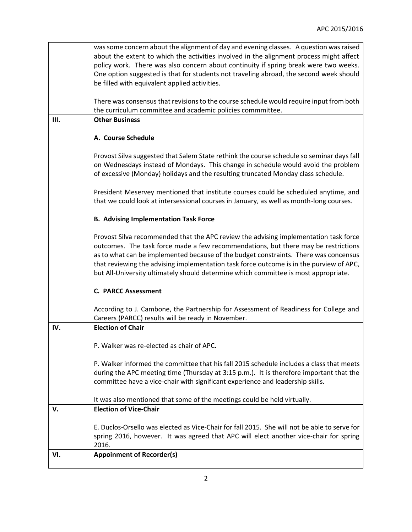|     | was some concern about the alignment of day and evening classes. A question was raised                                                                                          |
|-----|---------------------------------------------------------------------------------------------------------------------------------------------------------------------------------|
|     | about the extent to which the activities involved in the alignment process might affect<br>policy work. There was also concern about continuity if spring break were two weeks. |
|     | One option suggested is that for students not traveling abroad, the second week should                                                                                          |
|     | be filled with equivalent applied activities.                                                                                                                                   |
|     |                                                                                                                                                                                 |
|     | There was consensus that revisions to the course schedule would require input from both                                                                                         |
|     | the curriculum committee and academic policies commmittee.                                                                                                                      |
| Ш.  | <b>Other Business</b>                                                                                                                                                           |
|     | A. Course Schedule                                                                                                                                                              |
|     | Provost Silva suggested that Salem State rethink the course schedule so seminar days fall                                                                                       |
|     | on Wednesdays instead of Mondays. This change in schedule would avoid the problem                                                                                               |
|     | of excessive (Monday) holidays and the resulting truncated Monday class schedule.                                                                                               |
|     |                                                                                                                                                                                 |
|     | President Meservey mentioned that institute courses could be scheduled anytime, and                                                                                             |
|     | that we could look at intersessional courses in January, as well as month-long courses.                                                                                         |
|     | <b>B. Advising Implementation Task Force</b>                                                                                                                                    |
|     | Provost Silva recommended that the APC review the advising implementation task force                                                                                            |
|     | outcomes. The task force made a few recommendations, but there may be restrictions                                                                                              |
|     | as to what can be implemented because of the budget constraints. There was concensus                                                                                            |
|     | that reviewing the advising implementation task force outcome is in the purview of APC,                                                                                         |
|     | but All-University ultimately should determine which committee is most appropriate.                                                                                             |
|     | <b>C. PARCC Assessment</b>                                                                                                                                                      |
|     | According to J. Cambone, the Partnership for Assessment of Readiness for College and<br>Careers (PARCC) results will be ready in November.                                      |
| IV. | <b>Election of Chair</b>                                                                                                                                                        |
|     |                                                                                                                                                                                 |
|     | P. Walker was re-elected as chair of APC.                                                                                                                                       |
|     | P. Walker informed the committee that his fall 2015 schedule includes a class that meets                                                                                        |
|     | during the APC meeting time (Thursday at 3:15 p.m.). It is therefore important that the                                                                                         |
|     | committee have a vice-chair with significant experience and leadership skills.                                                                                                  |
|     |                                                                                                                                                                                 |
|     | It was also mentioned that some of the meetings could be held virtually.                                                                                                        |
| v.  | <b>Election of Vice-Chair</b>                                                                                                                                                   |
|     | E. Duclos-Orsello was elected as Vice-Chair for fall 2015. She will not be able to serve for                                                                                    |
|     | spring 2016, however. It was agreed that APC will elect another vice-chair for spring                                                                                           |
|     | 2016.                                                                                                                                                                           |
| VI. | <b>Appoinment of Recorder(s)</b>                                                                                                                                                |
|     |                                                                                                                                                                                 |